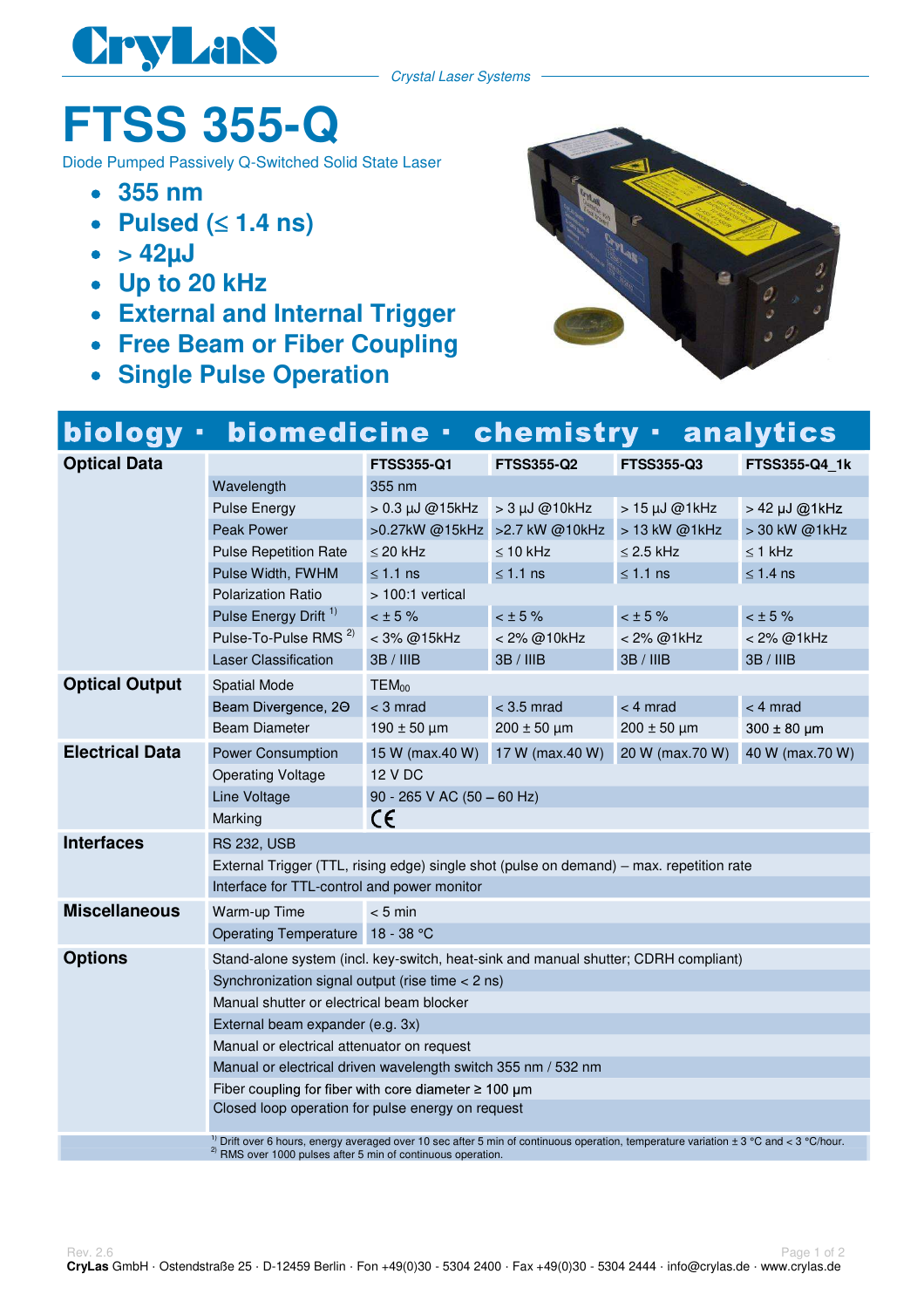

Crystal Laser Systems

## **FTSS 355-Q**

Diode Pumped Passively Q-Switched Solid State Laser

- **355 nm**
- Pulsed  $( \leq 1.4 \text{ ns} )$
- $\bullet$  > 42 $\mu$ J
- **Up to 20 kHz**
- **External and Internal Trigger**
- **Free Beam or Fiber Coupling**
- **Single Pulse Operation**



## biology · biomedicine · chemistry · analytics

| <b>Optical Data</b>    |                                                                                                                                                                                                                                 | <b>FTSS355-Q1</b>              | <b>FTSS355-Q2</b>    | <b>FTSS355-Q3</b> | FTSS355-Q4_1k   |  |
|------------------------|---------------------------------------------------------------------------------------------------------------------------------------------------------------------------------------------------------------------------------|--------------------------------|----------------------|-------------------|-----------------|--|
|                        | 355 nm<br>Wavelength                                                                                                                                                                                                            |                                |                      |                   |                 |  |
|                        | <b>Pulse Energy</b>                                                                                                                                                                                                             | $> 0.3 \mu J \text{ @15kHz}$   | $> 3 \mu J$ @10kHz   | > 15 µJ @1kHz     | > 42 µJ @1kHz   |  |
|                        | <b>Peak Power</b>                                                                                                                                                                                                               | >0.27kW @15kHz > 2.7 kW @10kHz |                      | > 13 kW @1kHz     | > 30 kW @1kHz   |  |
|                        | <b>Pulse Repetition Rate</b>                                                                                                                                                                                                    | $\leq$ 20 kHz                  | $\leq 10$ kHz        | $\leq$ 2.5 kHz    | $\leq$ 1 kHz    |  |
|                        | Pulse Width, FWHM                                                                                                                                                                                                               | $\leq 1.1$ ns                  | $\leq 1.1$ ns        | $≤ 1.1$ ns        | $\leq 1.4$ ns   |  |
|                        | <b>Polarization Ratio</b>                                                                                                                                                                                                       | > 100:1 vertical               |                      |                   |                 |  |
|                        | Pulse Energy Drift <sup>1)</sup>                                                                                                                                                                                                | $< \pm 5 \%$                   | $<$ $\pm$ 5%         | $<$ $\pm$ 5 %     | $<$ $\pm$ 5 %   |  |
|                        | Pulse-To-Pulse RMS <sup>2)</sup>                                                                                                                                                                                                | < 3% @15kHz                    | < 2% @10kHz          | < 2% @1kHz        | < 2% @1kHz      |  |
|                        | <b>Laser Classification</b>                                                                                                                                                                                                     | 3B / IIIB                      | 3B / IIIB            | 3B / IIIB         | 3B/IIIB         |  |
| <b>Optical Output</b>  | <b>Spatial Mode</b>                                                                                                                                                                                                             | TEM <sub>00</sub>              |                      |                   |                 |  |
|                        | Beam Divergence, 20                                                                                                                                                                                                             | $<$ 3 mrad                     | $<$ 3.5 mrad         | $<$ 4 mrad        | $<$ 4 mrad      |  |
|                        | <b>Beam Diameter</b>                                                                                                                                                                                                            | $190 \pm 50 \mu m$             | $200 \pm 50 \,\mu m$ | $200 \pm 50$ µm   | $300 \pm 80$ µm |  |
| <b>Electrical Data</b> | <b>Power Consumption</b>                                                                                                                                                                                                        | 15 W (max.40 W)                | 17 W (max.40 W)      | 20 W (max.70 W)   | 40 W (max.70 W) |  |
|                        | <b>Operating Voltage</b>                                                                                                                                                                                                        | 12 V DC                        |                      |                   |                 |  |
|                        | Line Voltage                                                                                                                                                                                                                    | 90 - 265 V AC $(50 - 60$ Hz)   |                      |                   |                 |  |
|                        | Marking                                                                                                                                                                                                                         | C€                             |                      |                   |                 |  |
| <b>Interfaces</b>      | <b>RS 232, USB</b>                                                                                                                                                                                                              |                                |                      |                   |                 |  |
|                        | External Trigger (TTL, rising edge) single shot (pulse on demand) – max. repetition rate                                                                                                                                        |                                |                      |                   |                 |  |
|                        | Interface for TTL-control and power monitor                                                                                                                                                                                     |                                |                      |                   |                 |  |
| <b>Miscellaneous</b>   | Warm-up Time                                                                                                                                                                                                                    | $< 5$ min                      |                      |                   |                 |  |
|                        | Operating Temperature 18 - 38 °C                                                                                                                                                                                                |                                |                      |                   |                 |  |
| <b>Options</b>         | Stand-alone system (incl. key-switch, heat-sink and manual shutter; CDRH compliant)                                                                                                                                             |                                |                      |                   |                 |  |
|                        | Synchronization signal output (rise time $<$ 2 ns)                                                                                                                                                                              |                                |                      |                   |                 |  |
|                        | Manual shutter or electrical beam blocker                                                                                                                                                                                       |                                |                      |                   |                 |  |
|                        | External beam expander (e.g. 3x)                                                                                                                                                                                                |                                |                      |                   |                 |  |
|                        | Manual or electrical attenuator on request                                                                                                                                                                                      |                                |                      |                   |                 |  |
|                        | Manual or electrical driven wavelength switch 355 nm / 532 nm                                                                                                                                                                   |                                |                      |                   |                 |  |
|                        | Fiber coupling for fiber with core diameter $\geq 100 \mu m$                                                                                                                                                                    |                                |                      |                   |                 |  |
|                        | Closed loop operation for pulse energy on request                                                                                                                                                                               |                                |                      |                   |                 |  |
|                        | <sup>1)</sup> Drift over 6 hours, energy averaged over 10 sec after 5 min of continuous operation, temperature variation $\pm$ 3 °C and < 3 °C/hour.<br><sup>2)</sup> RMS over 1000 pulses after 5 min of continuous operation. |                                |                      |                   |                 |  |